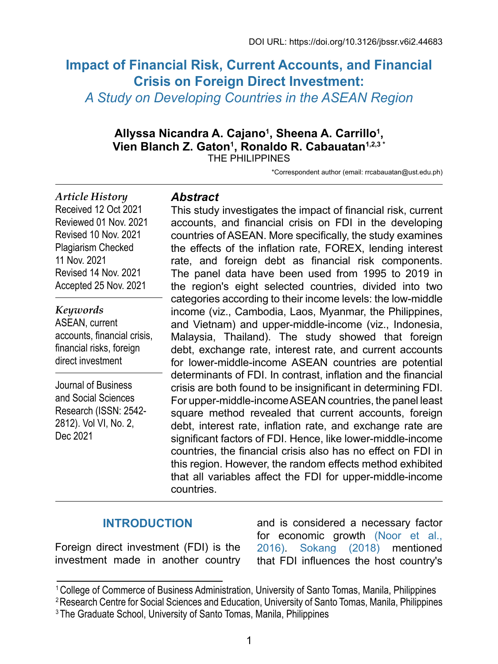# **Impact of Financial Risk, Current Accounts, and Financial Crisis on Foreign Direct Investment:** *A Study on Developing Countries in the ASEAN Region*

# Allyssa Nicandra A. Cajano<sup>1</sup>, Sheena A. Carrillo<sup>1</sup>, **Vien Blanch Z. Gaton1 , Ronaldo R. Cabauatan1,2,3 \***

THE PHILIPPINES

\*Correspondent author (email: [rrcabauatan@ust.edu.ph](mailto:rrcabauatan@ust.edu.ph))

#### *Article History* Received 12 Oct 2021

Reviewed 01 Nov. 2021 Revised 10 Nov. 2021 Plagiarism Checked 11 Nov. 2021 Revised 14 Nov. 2021 Accepted 25 Nov. 2021

*Keywords* ASEAN, current accounts, financial crisis, financial risks, foreign direct investment

Journal of Business and Social Sciences Research (ISSN: 2542- 2812). Vol VI, No. 2, Dec 2021

## *Abstract*

This study investigates the impact of financial risk, current accounts, and financial crisis on FDI in the developing countries of ASEAN. More specifically, the study examines the effects of the inflation rate, FOREX, lending interest rate, and foreign debt as financial risk components. The panel data have been used from 1995 to 2019 in the region's eight selected countries, divided into two categories according to their income levels: the low-middle income (viz., Cambodia, Laos, Myanmar, the Philippines, and Vietnam) and upper-middle-income (viz., Indonesia, Malaysia, Thailand). The study showed that foreign debt, exchange rate, interest rate, and current accounts for lower-middle-income ASEAN countries are potential determinants of FDI. In contrast, inflation and the financial crisis are both found to be insignificant in determining FDI. For upper-middle-income ASEAN countries, the panel least square method revealed that current accounts, foreign debt, interest rate, inflation rate, and exchange rate are significant factors of FDI. Hence, like lower-middle-income countries, the financial crisis also has no effect on FDI in this region. However, the random effects method exhibited that all variables affect the FDI for upper-middle-income countries.

## **INTRODUCTION**

Foreign direct investment (FDI) is the investment made in another country

and is considered a necessary factor for economic growth [\(Noor et al.,](#page-21-0) [2016\)](#page-21-0). [Sokang \(2018\)](#page-22-0) mentioned that FDI influences the host country's

<sup>1</sup>College of Commerce of Business Administration, University of Santo Tomas, Manila, Philippines

<sup>&</sup>lt;sup>2</sup> Research Centre for Social Sciences and Education, University of Santo Tomas, Manila, Philippines

<sup>&</sup>lt;sup>3</sup> The Graduate School, University of Santo Tomas, Manila, Philippines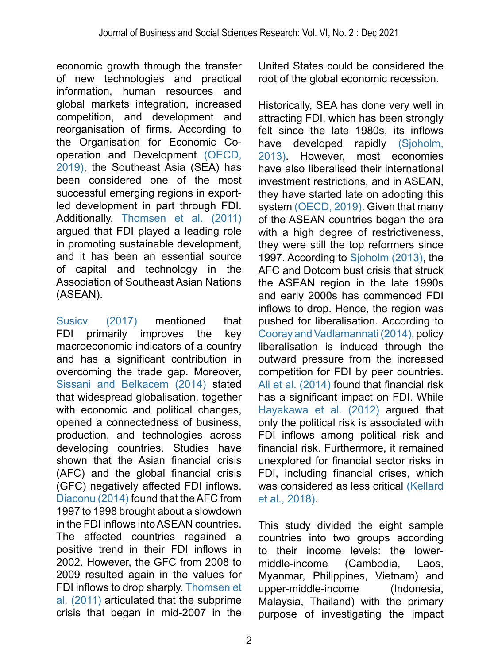economic growth through the transfer of new technologies and practical information, human resources and global markets integration, increased competition, and development and reorganisation of firms. According to the Organisation for Economic Cooperation and Development [\(OECD,](#page-21-1)  [2019\),](#page-21-1) the Southeast Asia (SEA) has been considered one of the most successful emerging regions in exportled development in part through FDI. Additionally, [Thomsen et al. \(2011\)](#page-23-0) argued that FDI played a leading role in promoting sustainable development, and it has been an essential source of capital and technology in the Association of Southeast Asian Nations (ASEAN).

[Susicv \(2017\)](#page-23-1) mentioned that FDI primarily improves the key macroeconomic indicators of a country and has a significant contribution in overcoming the trade gap. Moreover, [Sissani and Belkacem \(2014\)](#page-22-1) stated that widespread globalisation, together with economic and political changes, opened a connectedness of business, production, and technologies across developing countries. Studies have shown that the Asian financial crisis (AFC) and the global financial crisis (GFC) negatively affected FDI inflows. [Diaconu \(2014\)](#page-19-0) found that the AFC from 1997 to 1998 brought about a slowdown in the FDI inflows into ASEAN countries. The affected countries regained a positive trend in their FDI inflows in 2002. However, the GFC from 2008 to 2009 resulted again in the values for FDI inflows to drop sharply. [Thomsen et](#page-23-0)  [al. \(2011\)](#page-23-0) articulated that the subprime crisis that began in mid-2007 in the

United States could be considered the root of the global economic recession.

Historically, SEA has done very well in attracting FDI, which has been strongly felt since the late 1980s, its inflows<br>have developed rapidly (Sjoholm, have developed [2013\).](#page-22-2) However, most economies have also liberalised their international investment restrictions, and in ASEAN, they have started late on adopting this system [\(OECD, 2019\).](#page-21-1) Given that many of the ASEAN countries began the era with a high degree of restrictiveness. they were still the top reformers since 1997. According to [Sjoholm \(2013\)](#page-22-2), the AFC and Dotcom bust crisis that struck the ASEAN region in the late 1990s and early 2000s has commenced FDI inflows to drop. Hence, the region was pushed for liberalisation. According to [Cooray and Vadlamannati \(2014\),](#page-19-1) policy liberalisation is induced through the outward pressure from the increased competition for FDI by peer countries. [Ali et al. \(2014\)](#page-18-0) found that financial risk has a significant impact on FDI. While [Hayakawa et al. \(2012\)](#page-19-2) argued that only the political risk is associated with FDI inflows among political risk and financial risk. Furthermore, it remained unexplored for financial sector risks in FDI, including financial crises, which was considered as less critical [\(Kellard](#page-20-0) [et al., 2018\).](#page-20-0)

This study divided the eight sample countries into two groups according to their income levels: the lowermiddle-income (Cambodia, Laos, Myanmar, Philippines, Vietnam) and upper-middle-income (Indonesia, Malaysia, Thailand) with the primary purpose of investigating the impact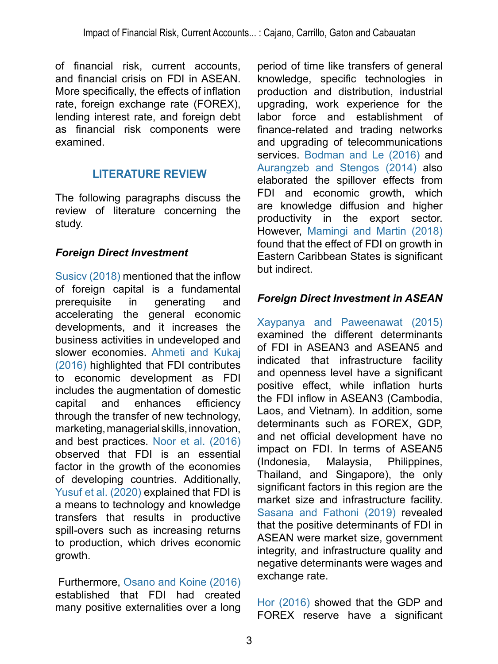of financial risk, current accounts, and financial crisis on FDI in ASEAN. More specifically, the effects of inflation rate, foreign exchange rate (FOREX), lending interest rate, and foreign debt as financial risk components were examined.

## **LITERATURE REVIEW**

The following paragraphs discuss the review of literature concerning the study.

#### *Foreign Direct Investment*

[Susicv \(2018\)](#page-23-1) mentioned that the inflow of foreign capital is a fundamental prerequisite in generating and accelerating the general economic developments, and it increases the business activities in undeveloped and slower economies. [Ahmeti and Kukaj](#page-18-1)  [\(2016\)](#page-18-1) highlighted that FDI contributes to economic development as FDI includes the augmentation of domestic capital and enhances efficiency through the transfer of new technology, marketing, managerial skills, innovation, and best practices. [Noor et al. \(2016\)](#page-21-0)  observed that FDI is an essential factor in the growth of the economies of developing countries. Additionally, Yusuf et al. (2020) explained that FDI is a means to technology and knowledge transfers that results in productive spill-overs such as increasing returns to production, which drives economic growth.

 Furthermore, [Osano and Koine \(2016\)](#page-21-2) established that FDI had created many positive externalities over a long

period of time like transfers of general knowledge, specific technologies in production and distribution, industrial upgrading, work experience for the labor force and establishment of finance-related and trading networks and upgrading of telecommunications services. [Bodman and Le \(2016\)](#page-19-3) and [Aurangzeb and Stengos \(2014\)](#page-19-4) also elaborated the spillover effects from FDI and economic growth, which are knowledge diffusion and higher productivity in the export sector. However, [Mamingi and Martin \(2018\)](#page-21-3) found that the effect of FDI on growth in Eastern Caribbean States is significant but indirect.

## *Foreign Direct Investment in ASEAN*

[Xaypanya and Paweenawat \(2015\)](#page-23-2) examined the different determinants of FDI in ASEAN3 and ASEAN5 and indicated that infrastructure facility and openness level have a significant positive effect, while inflation hurts the FDI inflow in ASEAN3 (Cambodia, Laos, and Vietnam). In addition, some determinants such as FOREX, GDP, and net official development have no impact on FDI. In terms of ASEAN5 (Indonesia, Malaysia, Philippines, Thailand, and Singapore), the only significant factors in this region are the market size and infrastructure facility. [Sasana and Fathoni \(2019\)](#page-22-3) revealed that the positive determinants of FDI in ASEAN were market size, government integrity, and infrastructure quality and negative determinants were wages and exchange rate.

[Hor \(2016\)](#page-20-1) showed that the GDP and FOREX reserve have a significant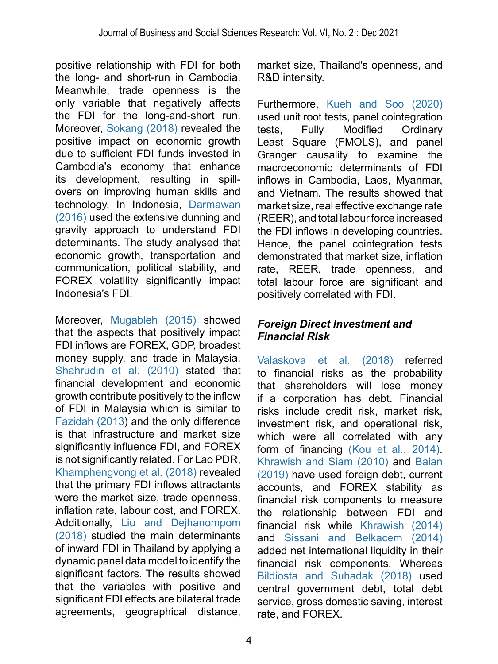positive relationship with FDI for both the long- and short-run in Cambodia. Meanwhile, trade openness is the only variable that negatively affects the FDI for the long-and-short run. Moreover, [Sokang \(2018\)](#page-22-0) revealed the positive impact on economic growth due to sufficient FDI funds invested in Cambodia's economy that enhance its development, resulting in spillovers on improving human skills and technology. In Indonesia, [Darmawan](#page-19-5)  [\(2016\)](#page-19-5) used the extensive dunning and gravity approach to understand FDI determinants. The study analysed that economic growth, transportation and communication, political stability, and FOREX volatility significantly impact Indonesia's FDI.

Moreover, [Mugableh \(2015\)](#page-21-4) showed that the aspects that positively impact FDI inflows are FOREX, GDP, broadest money supply, and trade in Malaysia. [Shahrudin et al. \(2010\)](#page-22-4) stated that financial development and economic growth contribute positively to the inflow of FDI in Malaysia which is similar to [Fazidah \(2013](#page-19-6)) and the only difference is that infrastructure and market size significantly influence FDI, and FOREX is not significantly related. For Lao PDR, [Khamphengvong et al. \(2018\)](#page-20-2) revealed that the primary FDI inflows attractants were the market size, trade openness, inflation rate, labour cost, and FOREX. Additionally, [Liu and Dejhanompom](#page-21-5)  [\(2018\)](#page-21-5) studied the main determinants of inward FDI in Thailand by applying a dynamic panel data model to identify the significant factors. The results showed that the variables with positive and significant FDI effects are bilateral trade agreements, geographical distance,

market size, Thailand's openness, and R&D intensity.

Furthermore, [Kueh and Soo \(2020\)](#page-21-6)  used unit root tests, panel cointegration tests, Fully Modified Ordinary Least Square (FMOLS), and panel Granger causality to examine the macroeconomic determinants of FDI inflows in Cambodia, Laos, Myanmar, and Vietnam. The results showed that market size, real effective exchange rate (REER), and total labour force increased the FDI inflows in developing countries. Hence, the panel cointegration tests demonstrated that market size, inflation rate, REER, trade openness, and total labour force are significant and positively correlated with FDI.

#### *Foreign Direct Investment and Financial Risk*

[Valaskova et al. \(2018\)](#page-23-3) referred to financial risks as the probability that shareholders will lose money if a corporation has debt. Financial risks include credit risk, market risk, investment risk, and operational risk, which were all correlated with any form of financing [\(Kou et al., 2014\)](#page-20-3). [Khrawish and Siam \(2010\)](#page-20-4) and [Balan](#page-19-7)  [\(2019\)](#page-19-7) have used foreign debt, current accounts, and FOREX stability as financial risk components to measure the relationship between FDI and financial risk while [Khrawish \(2014\)](#page-20-5)  and [Sissani and Belkacem \(2014\)](#page-22-1)  added net international liquidity in their financial risk components. Whereas [Bildiosta and Suhadak \(2018\)](#page-19-8) used central government debt, total debt service, gross domestic saving, interest rate, and FOREX.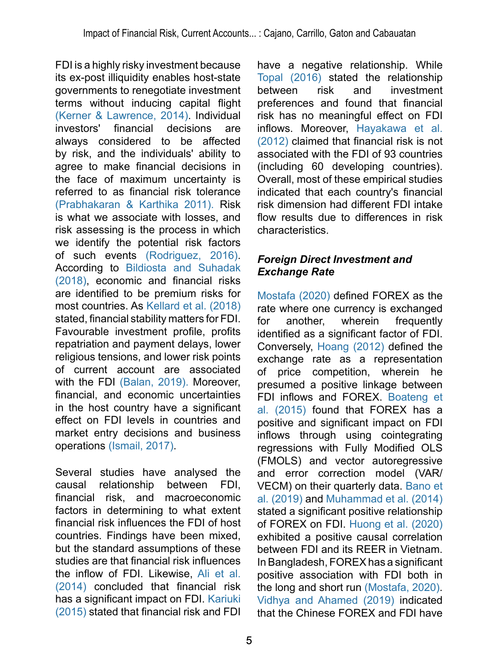FDI is a highly risky investment because its ex-post illiquidity enables host-state governments to renegotiate investment terms without inducing capital flight [\(Kerner & Lawrence, 2014\).](#page-20-6) Individual<br>investors' financial decisions are investors' financial decisions are always considered to be affected by risk, and the individuals' ability to agree to make financial decisions in the face of maximum uncertainty is referred to as financial risk tolerance [\(Prabhakaran & Karthika 2011\).](#page-22-5) Risk is what we associate with losses, and risk assessing is the process in which we identify the potential risk factors of such events (Rodriguez, 2016). According to [Bildiosta and Suhadak](#page-19-8)  [\(2018\)](#page-19-8), economic and financial risks are identified to be premium risks for most countries. As [Kellard et al. \(2018\)](#page-20-0)  stated, financial stability matters for FDI. Favourable investment profile, profits repatriation and payment delays, lower religious tensions, and lower risk points of current account are associated with the FDI [\(Balan, 2019\).](#page-19-7) Moreover, financial, and economic uncertainties in the host country have a significant effect on FDI levels in countries and market entry decisions and business operations [\(Ismail, 2017\).](#page-20-7)

Several studies have analysed the causal relationship between FDI, financial risk, and macroeconomic factors in determining to what extent financial risk influences the FDI of host countries. Findings have been mixed, but the standard assumptions of these studies are that financial risk influences the inflow of FDI. Likewise, [Ali et al.](#page-18-0)  [\(2014\)](#page-18-0) concluded that financial risk has a significant impact on FDI. [Kariuki](#page-20-8)  [\(2015\)](#page-20-8) stated that financial risk and FDI

have a negative relationship. While [Topal \(2016\)](#page-23-4) stated the relationship between risk and investment preferences and found that financial risk has no meaningful effect on FDI inflows. Moreover, [Hayakawa et al.](#page-19-2)  [\(2012\)](#page-19-2) claimed that financial risk is not associated with the FDI of 93 countries (including 60 developing countries). Overall, most of these empirical studies indicated that each country's financial risk dimension had different FDI intake flow results due to differences in risk characteristics.

#### *Foreign Direct Investment and Exchange Rate*

[Mostafa \(2020\)](#page-21-7) defined FOREX as the rate where one currency is exchanged for another, wherein frequently identified as a significant factor of FDI. Conversely, [Hoang \(2012\)](#page-20-9) defined the exchange rate as a representation of price competition, wherein he presumed a positive linkage between FDI inflows and FOREX. [Boateng et](#page-19-9)  [al. \(2015\)](#page-19-9) found that FOREX has a positive and significant impact on FDI inflows through using cointegrating regressions with Fully Modified OLS (FMOLS) and vector autoregressive and error correction model (VAR/ VECM) on their quarterly data. [Bano et](#page-19-10)  [al. \(2019\)](#page-19-10) and [Muhammad et al. \(2014\)](#page-21-8) stated a significant positive relationship of FOREX on FDI. [Huong et al. \(2020\)](#page-20-10) exhibited a positive causal correlation between FDI and its REER in Vietnam. In Bangladesh, FOREX has a significant positive association with FDI both in the long and short run [\(Mostafa, 2020\)](#page-21-7). [Vidhya and Ahamed \(2019\)](#page-23-5) indicated that the Chinese FOREX and FDI have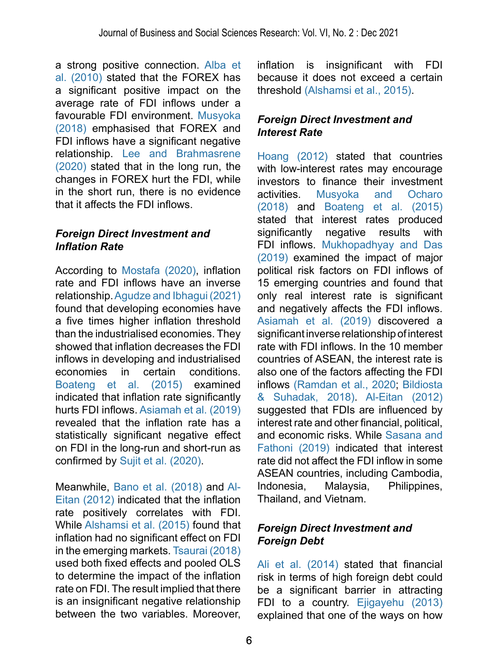a strong positive connection. [Alba et](#page-18-2)  [al. \(2010\)](#page-18-2) stated that the FOREX has a significant positive impact on the average rate of FDI inflows under a favourable FDI environment. [Musyoka](#page-21-9)  [\(2018\)](#page-21-9) emphasised that FOREX and FDI inflows have a significant negative relationship. [Lee and Brahmasrene](#page-21-10)  [\(2020\)](#page-21-10) stated that in the long run, the changes in FOREX hurt the FDI, while in the short run, there is no evidence that it affects the FDI inflows.

#### *Foreign Direct Investment and Inflation Rate*

According to [Mostafa \(2020\)](#page-21-7), inflation rate and FDI inflows have an inverse relationship. [Agudze and Ibhagui \(2021\)](#page-18-3)  found that developing economies have a five times higher inflation threshold than the industrialised economies. They showed that inflation decreases the FDI inflows in developing and industrialised economies in certain conditions. [Boateng et al. \(2015\)](#page-19-9) examined indicated that inflation rate significantly hurts FDI inflows. [Asiamah et al. \(2019\)](#page-18-4) revealed that the inflation rate has a statistically significant negative effect on FDI in the long-run and short-run as confirmed by [Sujit et al. \(2020\).](#page-22-6)

Meanwhile, [Bano et al. \(2018\)](#page-19-10) and [Al-](#page-18-5)[Eitan \(2012\)](#page-18-5) indicated that the inflation rate positively correlates with FDI. While [Alshamsi et al. \(2015\)](#page-18-6) found that inflation had no significant effect on FDI in the emerging markets. [Tsaurai \(2018\)](#page-23-6)  used both fixed effects and pooled OLS to determine the impact of the inflation rate on FDI. The result implied that there is an insignificant negative relationship between the two variables. Moreover,

inflation is insignificant with FDI because it does not exceed a certain threshold [\(Alshamsi et al., 2015\)](#page-18-6).

#### *Foreign Direct Investment and Interest Rate*

[Hoang \(2012\)](#page-20-9) stated that countries with low-interest rates may encourage investors to finance their investment activities. [Musyoka and Ocharo](#page-21-9)  [\(2018\)](#page-21-9) and [Boateng et al. \(2015\)](#page-19-9)  stated that interest rates produced significantly negative results with FDI inflows. [Mukhopadhyay and Das](#page-21-11)  [\(2019\)](#page-21-11) examined the impact of major political risk factors on FDI inflows of 15 emerging countries and found that only real interest rate is significant and negatively affects the FDI inflows. [Asiamah et al. \(2019\)](#page-18-4) discovered a significant inverse relationship of interest rate with FDI inflows. In the 10 member countries of ASEAN, the interest rate is also one of the factors affecting the FDI inflows [\(Ramdan et al., 2020](#page-22-7); [Bildiosta](#page-19-8)  [& Suhadak, 2018\)](#page-19-8). [Al-Eitan \(2012\)](#page-18-5)  suggested that FDIs are influenced by interest rate and other financial, political, and economic risks. While [Sasana and](#page-22-3)  [Fathoni \(2019\)](#page-22-3) indicated that interest rate did not affect the FDI inflow in some ASEAN countries, including Cambodia, Indonesia, Malaysia, Philippines, Thailand, and Vietnam.

#### *Foreign Direct Investment and Foreign Debt*

[Ali et al. \(2014\)](#page-18-0) stated that financial risk in terms of high foreign debt could be a significant barrier in attracting FDI to a country. [Ejigayehu \(2013\)](#page-19-11)  explained that one of the ways on how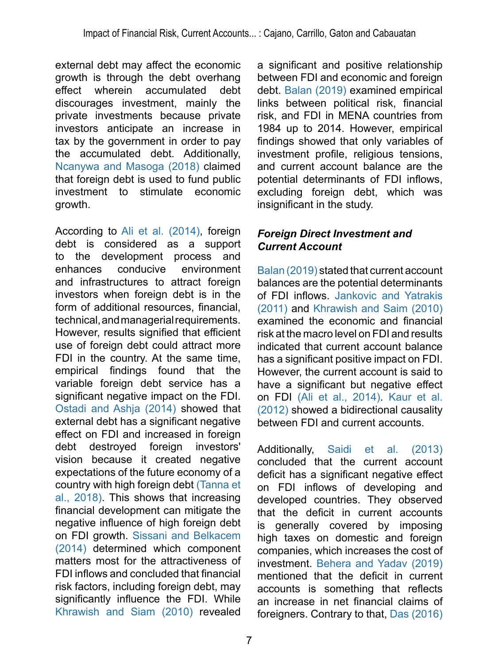external debt may affect the economic growth is through the debt overhang effect wherein accumulated debt discourages investment, mainly the private investments because private investors anticipate an increase in tax by the government in order to pay the accumulated debt. Additionally, [Ncanywa and Masoga \(2018\)](#page-21-12) claimed that foreign debt is used to fund public investment to stimulate economic growth.

According to [Ali et al. \(2014\),](#page-18-0) foreign debt is considered as a support to the development process and enhances conducive environment and infrastructures to attract foreign investors when foreign debt is in the form of additional resources, financial, technical, and managerial requirements. However, results signified that efficient use of foreign debt could attract more FDI in the country. At the same time, empirical findings found that the variable foreign debt service has a significant negative impact on the FDI. [Ostadi and Ashja \(2014\)](#page-22-8) showed that external debt has a significant negative effect on FDI and increased in foreign debt destroved foreign investors' vision because it created negative expectations of the future economy of a country with high foreign debt [\(Tanna et](#page-23-7)  [al., 2018\)](#page-23-7). This shows that increasing financial development can mitigate the negative influence of high foreign debt on FDI growth. [Sissani and Belkacem](#page-22-1)  [\(2014\)](#page-22-1) determined which component matters most for the attractiveness of FDI inflows and concluded that financial risk factors, including foreign debt, may significantly influence the FDI. While [Khrawish and Siam \(2010\)](#page-20-4) revealed

a significant and positive relationship between FDI and economic and foreign debt. [Balan \(2019\)](#page-19-7) examined empirical links between political risk, financial risk, and FDI in MENA countries from 1984 up to 2014. However, empirical findings showed that only variables of investment profile, religious tensions, and current account balance are the potential determinants of FDI inflows, excluding foreign debt, which was insignificant in the study.

#### *Foreign Direct Investment and Current Account*

[Balan \(2019\)](#page-19-7) stated that current account balances are the potential determinants of FDI inflows. [Jankovic and Yatrakis](#page-20-11)  [\(2011\)](#page-20-11) and [Khrawish and Saim \(2010\)](#page-20-4) examined the economic and financial risk at the macro level on FDI and results indicated that current account balance has a significant positive impact on FDI. However, the current account is said to have a significant but negative effect on FDI [\(Ali et al., 2014\).](#page-18-0) [Kaur et al.](#page-20-12)  [\(2012\)](#page-20-12) showed a bidirectional causality between FDI and current accounts.

Additionally, [Saidi et al. \(2013\)](#page-22-9)  concluded that the current account deficit has a significant negative effect on FDI inflows of developing and developed countries. They observed that the deficit in current accounts is generally covered by imposing high taxes on domestic and foreign companies, which increases the cost of investment. Behera and Yadav (2019) mentioned that the deficit in current accounts is something that reflects an increase in net financial claims of foreigners. Contrary to that, [Das \(2016\)](#page-19-12)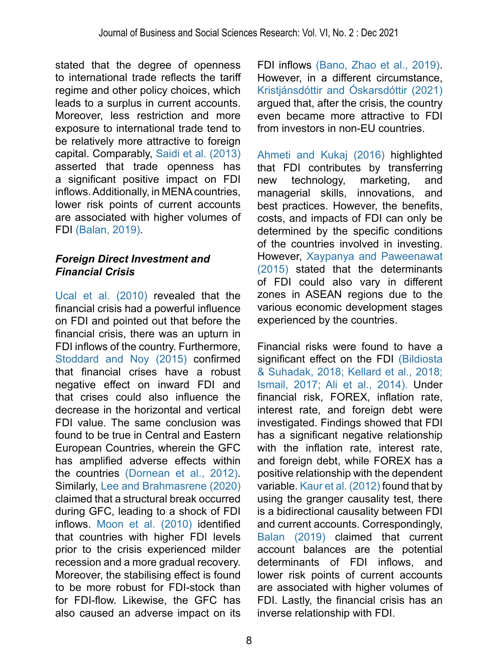stated that the degree of openness to international trade reflects the tariff regime and other policy choices, which leads to a surplus in current accounts. Moreover, less restriction and more exposure to international trade tend to be relatively more attractive to foreign capital. Comparably, [Saidi et al. \(2013\)](#page-22-9) asserted that trade openness has a significant positive impact on FDI inflows. Additionally, in MENA countries, lower risk points of current accounts are associated with higher volumes of FDI [\(Balan, 2019\).](#page-19-7)

#### *Foreign Direct Investment and Financial Crisis*

Ucal et al. (2010) revealed that the financial crisis had a powerful influence on FDI and pointed out that before the financial crisis, there was an upturn in FDI inflows of the country. Furthermore, [Stoddard and Noy \(2015\)](#page-22-10) confirmed that financial crises have a robust negative effect on inward FDI and that crises could also influence the decrease in the horizontal and vertical FDI value. The same conclusion was found to be true in Central and Eastern European Countries, wherein the GFC has amplified adverse effects within the countries (Dornean et al., 2012). Similarly, [Lee and Brahmasrene \(2020\)](#page-21-10)  claimed that a structural break occurred during GFC, leading to a shock of FDI inflows. [Moon et al. \(2010\)](#page-21-13) identified that countries with higher FDI levels prior to the crisis experienced milder recession and a more gradual recovery. Moreover, the stabilising effect is found to be more robust for FDI-stock than for FDI-flow. Likewise, the GFC has also caused an adverse impact on its

FDI inflows [\(Bano, Zhao et al., 2019\)](#page-19-10). However, in a different circumstance, [Kristjánsdóttir and Óskarsdóttir \(2021\)](#page-20-13)  argued that, after the crisis, the country even became more attractive to FDI from investors in non-EU countries.

[Ahmeti and Kukaj \(2016\)](#page-18-1) highlighted that FDI contributes by transferring new technology, marketing, and managerial skills, innovations, and best practices. However, the benefits, costs, and impacts of FDI can only be determined by the specific conditions of the countries involved in investing. However, [Xaypanya and Paweenawat](#page-23-2)  [\(2015\)](#page-23-2) stated that the determinants of FDI could also vary in different zones in ASEAN regions due to the various economic development stages experienced by the countries.

Financial risks were found to have a significant effect on the FDI (Bildiosta [& Suhadak, 2018;](#page-19-8) [Kellard et al., 2018;](#page-20-0) [Ismail, 2017;](#page-20-7) [Ali et al., 2014\).](#page-18-0) Under financial risk, FOREX, inflation rate, interest rate, and foreign debt were investigated. Findings showed that FDI has a significant negative relationship with the inflation rate, interest rate, and foreign debt, while FOREX has a positive relationship with the dependent variable. [Kaur et al. \(2012\)](#page-20-12) found that by using the granger causality test, there is a bidirectional causality between FDI and current accounts. Correspondingly, [Balan \(2019\)](#page-19-7) claimed that current account balances are the potential determinants of FDI inflows, and lower risk points of current accounts are associated with higher volumes of FDI. Lastly, the financial crisis has an inverse relationship with FDI.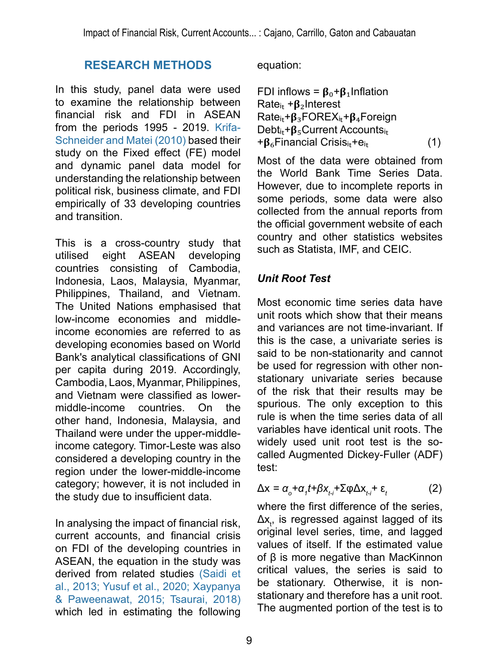# **RESEARCH METHODS**

In this study, panel data were used to examine the relationship between financial risk and FDI in ASEAN from the periods 1995 - 2019. [Krifa-](#page-20-14)[Schneider and Matei \(2010\)](#page-20-14) based their study on the Fixed effect (FE) model and dynamic panel data model for understanding the relationship between political risk, business climate, and FDI empirically of 33 developing countries and transition.

This is a cross-country study that utilised eight ASEAN developing countries consisting of Cambodia, Indonesia, Laos, Malaysia, Myanmar, Philippines, Thailand, and Vietnam. The United Nations emphasised that low-income economies and middleincome economies are referred to as developing economies based on World Bank's analytical classifications of GNI per capita during 2019. Accordingly, Cambodia, Laos, Myanmar, Philippines, and Vietnam were classified as lowermiddle-income countries. On the other hand, Indonesia, Malaysia, and Thailand were under the upper-middleincome category. Timor-Leste was also considered a developing country in the region under the lower-middle-income category; however, it is not included in the study due to insufficient data.

In analysing the impact of financial risk, current accounts, and financial crisis on FDI of the developing countries in ASEAN, the equation in the study was derived from related studies [\(Saidi et](#page-22-9)  [al., 2013;](#page-22-9) Yusuf et al., 2020; [Xaypanya](#page-23-2)  [& Paweenawat, 2015;](#page-23-2) [Tsaurai, 2018\)](#page-23-6)  which led in estimating the following

equation:

FDI inflows = 
$$
β_0 + β_1
$$
Inflation  
Rate<sub>it</sub> +  $β_2$ Interest  
Rate<sub>it</sub>+ $β_3$ FOREX<sub>it</sub>+ $β_4$  Foreign  
Debt<sub>it</sub>+ $β_5$ Current Accounts<sub>it</sub>  
+ $β_6$ Financial Crisis<sub>it</sub>+e<sub>it</sub> (1)

Most of the data were obtained from the World Bank Time Series Data. However, due to incomplete reports in some periods, some data were also collected from the annual reports from the official government website of each country and other statistics websites such as Statista, IMF, and CEIC.

## *Unit Root Test*

Most economic time series data have unit roots which show that their means and variances are not time-invariant. If this is the case, a univariate series is said to be non-stationarity and cannot be used for regression with other nonstationary univariate series because of the risk that their results may be spurious. The only exception to this rule is when the time series data of all variables have identical unit roots. The widely used unit root test is the socalled Augmented Dickey-Fuller (ADF) test:

$$
\Delta x = \alpha_o + \alpha_i t + \beta x_{t-i} + \Sigma \varphi \Delta x_{t-i} + \varepsilon_t \tag{2}
$$

where the first difference of the series, Δx<sub>t</sub>, is regressed against lagged of its original level series, time, and lagged values of itself. If the estimated value of β is more negative than MacKinnon critical values, the series is said to be stationary. Otherwise, it is nonstationary and therefore has a unit root. The augmented portion of the test is to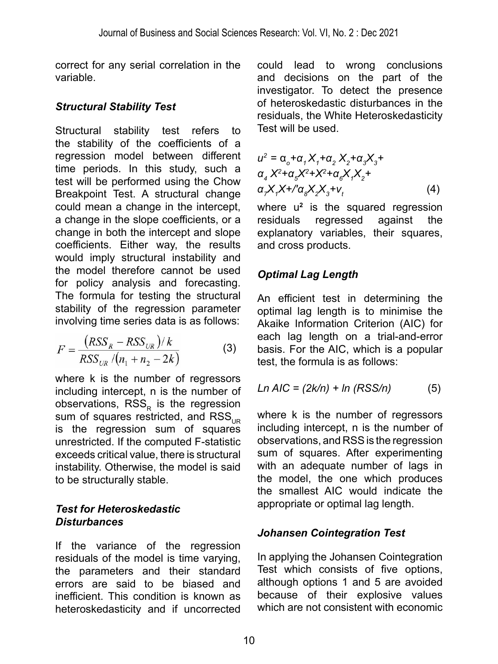correct for any serial correlation in the variable.

## *Structural Stability Test*

Structural stability test refers to the stability of the coefficients of a regression model between different time periods. In this study, such a test will be performed using the Chow Breakpoint Test. A structural change could mean a change in the intercept, a change in the slope coefficients, or a change in both the intercept and slope coefficients. Either way, the results would imply structural instability and the model therefore cannot be used for policy analysis and forecasting. The formula for testing the structural stability of the regression parameter involving time series data is as follows:

$$
F = \frac{(RSS_{R} - RSS_{UR})/k}{RSS_{UR}/(n_{1} + n_{2} - 2k)}
$$
(3)

where k is the number of regressors including intercept, n is the number of observations, RSS<sub>p</sub> is the regression sum of squares restricted, and  $RSS_{\text{LB}}$ is the regression sum of squares unrestricted. If the computed F-statistic exceeds critical value, there is structural instability. Otherwise, the model is said to be structurally stable.

#### *Test for Heteroskedastic Disturbances*

If the variance of the regression residuals of the model is time varying, the parameters and their standard errors are said to be biased and inefficient. This condition is known as heteroskedasticity and if uncorrected could lead to wrong conclusions and decisions on the part of the investigator. To detect the presence of heteroskedastic disturbances in the residuals, the White Heteroskedasticity Test will be used.

$$
u^2 = \alpha_o + \alpha_1 X_1 + \alpha_2 X_2 + \alpha_3 X_3 +
$$
  
\n
$$
\alpha_4 X^2 + \alpha_5 X^2 + X^2 + \alpha_6 X_1 X_2 +
$$
  
\n
$$
\alpha_7 X_1 X + \alpha_8 X_2 X_3 + \alpha_1
$$
  
\n(4)

where u**<sup>2</sup>** is the squared regression residuals regressed against the explanatory variables, their squares, and cross products.

## *Optimal Lag Length*

An efficient test in determining the optimal lag length is to minimise the Akaike Information Criterion (AIC) for each lag length on a trial-and-error basis. For the AIC, which is a popular test, the formula is as follows:

$$
Ln AIC = (2k/n) + ln (RSS/n)
$$
 (5)

where k is the number of regressors including intercept, n is the number of observations, and RSS is the regression sum of squares. After experimenting with an adequate number of lags in the model, the one which produces the smallest AIC would indicate the appropriate or optimal lag length.

## *Johansen Cointegration Test*

In applying the Johansen Cointegration Test which consists of five options, although options 1 and 5 are avoided because of their explosive values which are not consistent with economic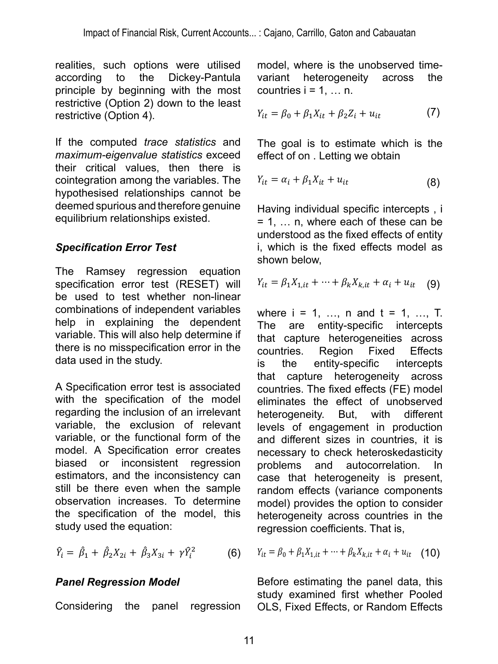realities, such options were utilised<br>according to the Dickey-Pantula **and the Dickey-Pantula** variant according to the Dickey-Pantula variant principle by beginning with the most countries  $\frac{1}{2}$  restrictive (Option 2) down to the least  $\frac{1}{2}$  is the unit heterogeneity of unobserved time-variant heterogeneity  $\frac{1}{2}$ restrictive (Option 4). **3.7. Panel Regression Model 2.6. The countries incredict**  $Y_{i,t} = \beta_0 + \beta_1$  $\frac{1}{t}$  **P**<sub>0</sub>

If the computed *trace statistics* and maximum-eigenvalue statistics exceed effect of their critical values, then there is cointegration among the variables. The  $Y_{it} = \alpha_i + \beta_1 X_{it} + u_{it}$  (8) hypothesised relationships cannot be mediation creates and therefore genuine inconsistent regional specific intercepts in determination or incomple equilibrium relationships existed.  $=$ 

#### *Specification Error Test*

The Ramsey regression equation  $\frac{3.50 \text{ m}}{2}$  a  $\frac{3.50 \text{ m}}{2}$  and  $\frac{3.50 \text{ m}}{2}$  and  $\frac{3.50 \text{ m}}{2}$  and  $\frac{3.50 \text{ m}}{2}$  and  $\frac{3.50 \text{ m}}{2}$  and  $\frac{3.50 \text{ m}}{2}$  and  $\frac{3.50 \text{ m}}{2}$  and  $\frac{3.50 \text{ m}}{2}$ specification error test (RESET) will  $Y_{it} = \beta_1 X_{1,it} + \cdots + \beta_k X_{k,it} + \alpha_i + u_{it}$  (9) be used to test whether non-linear in and different sizes in production and different sizes in production and  $\mathbf{r}_i$ combinations of independent variables  $\theta$  where  $i = 1, \ldots, n$  and  $t = 1, \ldots$ help in explaining the dependent The are entity-specific interce variable. This will also help determine if the the child specific interest there is no misspecification error in the least restriction  $\frac{1}{2}$ . data used in the study.  $\text{Cov}(\text{NLOL1})$  with an autocorrelation. In case that he is present, random effects in present, random effects is present, random effects in  $\mathbb{E}[\text{SUS}(\text{SUS})]$  $\alpha$  and  $\alpha$  in the option to components model heterogeneity across consider heterogeneity across consider  $\alpha$  $\mathsf{S}$  considering the panel regression model, where  $\mathsf{S}$  is the unit heterogeneity of unobserved time-variant heterogeneity is the unobserved time-variant heterogeneity is the unobserved time-variant heterogeneity

A Specification error test is associated with the specification of the model elimi regarding the inclusion of an irrelevant heter variable, the exclusion of relevant variable, or the functional form of the  $\alpha$  and different sizes in countries, it model. A Specification error creates necessary to check heteroskedastic biased or inconsistent regression problems and autocorrelation. In estimators, and the inconsistency can sourhatore, and the mooneletency can case that heterogeneity is prese<br>still be there even when the sample random effects (variance compone observation increases. To determine the specification of the model, this study used the equation: still be there even when the sample random effects (variance components observation increases. To determine model) provides the option to consider the specification of the model, this heterogeneity across countries in the study used the equation:

$$
\hat{Y}_i = \hat{\beta}_1 + \hat{\beta}_2 X_{2i} + \hat{\beta}_3 X_{3i} + \gamma \hat{Y}_i^2 \tag{6}
$$

# **3.7. Panel Regression Model**  *Panel Regression Model*

Considering Considering the panel regression OLS

ns were utilised model, where is the unobserved time-Dickey-Pantula variant heterogeneity across the countries  $i = 1, \ldots n$ .  $\ddot{\phantom{a}}$  +  $\ddot{\phantom{a}}$ spurious and therefore therefore genuing and the second relationships existed.

$$
Y_{it} = \beta_0 + \beta_1 X_{it} + \beta_2 Z_i + u_{it}
$$
 (7)

ice statistics and The goal is to estimate which is the �� = � + ��� + �� (Eq. 8) effect of on . Letting we obtain The goal is to estimate � which is the effect of � on �. Letting � = � + �� we obtain also help determine if there is no misspecification error in the data used in the study.  $\mathbf{F}$  =  $\mathbf{F}$  +  $\mathbf{F}$  +  $\mathbf{F}$  +  $\mathbf{F}$  +  $\mathbf{F}$  +  $\mathbf{F}$  +  $\mathbf{F}$  +  $\mathbf{F}$  +  $\mathbf{F}$  +  $\mathbf{F}$ statistics and The goal is to estimate which is the

the variables. The 
$$
Y_{it} = \alpha_i + \beta_1 X_{it} + u_{it}
$$
 (8)

 $\frac{1}{\sqrt{2}}$  = 1, … n, where each of these can be dinderstood as the lixed effects of entity<br>**Test** i, which is the fixed effects model as accountries. Region Fixed Effects is the entity-specific intervals that capture heterogeneity across that capture heterogeneity across that capture heterogeneity across that capture heterogeneity across that capture interv therefore genuine Having individual specific intercepts, i where its and the shown below, where the specific intercepts that capture intercepts that capture he<br>Shown below, where the capture of the capture of the capture of the capture of the capture of the capture of t understood as the fixed effects of entity shown below,

$$
Y_{it} = \beta_1 X_{1,it} + \dots + \beta_k X_{k,it} + \alpha_i + u_{it} \quad (9)
$$

 If the computed *trace statistics* and *maximum-eigenvalue statistics* exceed their critical values, that capture heterogeneity across pendent variables where  $i = 1, ..., n$  and  $t = 1, ..., T$ .  $\theta$  help determine if that capture heterogeneities across y. The countries Region Fixed Effects<br>y. Share is the entity-specific intercepts  $V_{\text{mcl}}$  and  $V_{\text{mcl}}$   $V_{\text{mcl}}$  is the dependent  $V_{\text{mcl}}$  and  $V_{\text{mcl}}$  intercepts the dependent  $V_{\text{mcl}}$  and  $V_{\text{mcl}}$  intercepts rest is associated countries. The fixed effects (FE) model the dependent The are entity-specific intercepts<br>belp-determine.if with units bahon chor in the apportunes. Region. Fixed Effects of the model eliminates the effect of unobserved sion of relevant levels of engagement in production ional form of the and different sizes in countries, it is countries. Region Fixed Effects of an irrelevant heterogeneity. But, with different necessary to check heteroskedasticity problems and autocorrelation. In msistency can case that heterogeneity is present, regression coefficients. That is, regression coefficients. That is, Shipman is to countries. Region Fixed Effects case that reterogeneity is present,

(6) 
$$
Y_{it} = \beta_0 + \beta_1 X_{1,it} + \dots + \beta_k X_{k,it} + \alpha_i + u_{it}
$$
 (10)

Study examined instrument in object<br>Considering the panel regression OLS, Fixed Effects, or Random Effects el Before estimating the panel data, this Effects estimating the parts data, the study examined first whether Pooled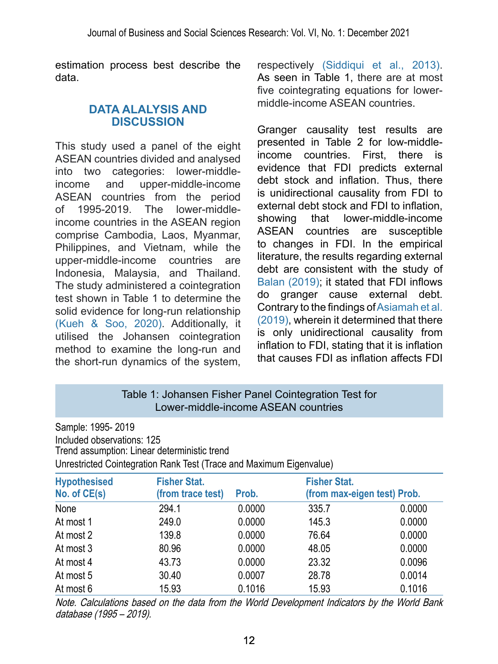estimation process best describe the data.

#### **DATA ALALYSIS AND DISCUSSION**

This study used a panel of the eight ASEAN countries divided and analysed into two categories: lower-middleincome and upper-middle-income ASEAN countries from the period of 1995-2019. The lower-middleincome countries in the ASEAN region comprise Cambodia, Laos, Myanmar, Philippines, and Vietnam, while the upper-middle-income countries are Indonesia, Malaysia, and Thailand. The study administered a cointegration test shown in Table 1 to determine the solid evidence for long-run relationship [\(Kueh & Soo, 2020\).](#page-21-6) Additionally, it utilised the Johansen cointegration method to examine the long-run and the short-run dynamics of the system, respectively [\(Siddiqui et al., 2013\)](#page-22-11). As seen in Table 1, there are at most five cointegrating equations for lowermiddle-income ASEAN countries.

Granger causality test results are presented in Table 2 for low-middleincome countries. First, there is evidence that FDI predicts external debt stock and inflation. Thus, there is unidirectional causality from FDI to external debt stock and FDI to inflation, showing that lower-middle-income ASEAN countries are susceptible to changes in FDI. In the empirical literature, the results regarding external debt are consistent with the study of [Balan \(2019\)](#page-19-7); it stated that FDI inflows do granger cause external debt. Contrary to the findings of [Asiamah et al.](#page-18-4)  [\(2019\)](#page-18-4), wherein it determined that there is only unidirectional causality from inflation to FDI, stating that it is inflation that causes FDI as inflation affects FDI

#### Table 1: Johansen Fisher Panel Cointegration Test for Lower-middle-income ASEAN countries

| Sample: 1995-2019                                                   |
|---------------------------------------------------------------------|
| Included observations: 125                                          |
| Trend assumption: Linear deterministic trend                        |
| Unrestricted Cointegration Rank Test (Trace and Maximum Eigenvalue) |

| <b>Hypothesised</b><br>No. of CE(s) | <b>Fisher Stat.</b><br>(from trace test) | Prob.  | <b>Fisher Stat.</b><br>(from max-eigen test) Prob. |        |
|-------------------------------------|------------------------------------------|--------|----------------------------------------------------|--------|
| None                                | 294.1                                    | 0.0000 | 335.7                                              | 0.0000 |
| At most 1                           | 249.0                                    | 0.0000 | 145.3                                              | 0.0000 |
| At most 2                           | 139.8                                    | 0.0000 | 76.64                                              | 0.0000 |
| At most 3                           | 80.96                                    | 0.0000 | 48.05                                              | 0.0000 |
| At most 4                           | 43.73                                    | 0.0000 | 23.32                                              | 0.0096 |
| At most 5                           | 30.40                                    | 0.0007 | 28.78                                              | 0.0014 |
| At most 6                           | 15.93                                    | 0.1016 | 15.93                                              | 0.1016 |

Note. Calculations based on the data from the World Development Indicators by the World Bank database (1995 – 2019).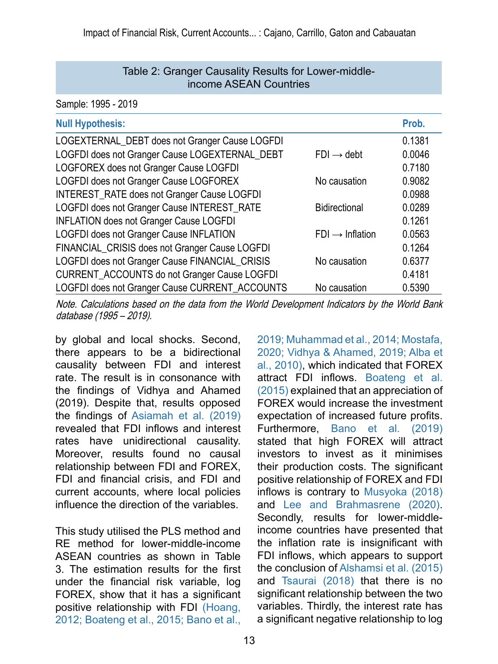#### Table 2: Granger Causality Results for Lower-middleincome ASEAN Countries

Sample: 1995 - 2019

| <b>Null Hypothesis:</b>                        |                             | Prob.  |
|------------------------------------------------|-----------------------------|--------|
| LOGEXTERNAL_DEBT does not Granger Cause LOGFDI |                             | 0.1381 |
| LOGFDI does not Granger Cause LOGEXTERNAL_DEBT | $FDI \rightarrow debt$      | 0.0046 |
| LOGFOREX does not Granger Cause LOGFDI         |                             | 0.7180 |
| LOGFDI does not Granger Cause LOGFOREX         | No causation                | 0.9082 |
| INTEREST_RATE does not Granger Cause LOGFDI    |                             | 0.0988 |
| LOGFDI does not Granger Cause INTEREST_RATE    | <b>Bidirectional</b>        | 0.0289 |
| <b>INFLATION does not Granger Cause LOGFDI</b> |                             | 0.1261 |
| LOGFDI does not Granger Cause INFLATION        | $FDI \rightarrow Inflation$ | 0.0563 |
| FINANCIAL_CRISIS does not Granger Cause LOGFDI |                             | 0.1264 |
| LOGFDI does not Granger Cause FINANCIAL_CRISIS | No causation                | 0.6377 |
| CURRENT_ACCOUNTS do not Granger Cause LOGFDI   |                             | 0.4181 |
| LOGFDI does not Granger Cause CURRENT_ACCOUNTS | No causation                | 0.5390 |
|                                                |                             |        |

Note. Calculations based on the data from the World Development Indicators by the World Bank database (1995 – 2019).

by global and local shocks. Second, there appears to be a bidirectional causality between FDI and interest rate. The result is in consonance with the findings of Vidhya and Ahamed (2019). Despite that, results opposed the findings of [Asiamah et al. \(2019\)](#page-18-4) revealed that FDI inflows and interest rates have unidirectional causality. Moreover, results found no causal relationship between FDI and FOREX, FDI and financial crisis, and FDI and current accounts, where local policies influence the direction of the variables.

This study utilised the PLS method and RE method for lower-middle-income ASEAN countries as shown in Table 3. The estimation results for the first under the financial risk variable, log FOREX, show that it has a significant positive relationship with FDI [\(Hoang,](#page-20-9)  [2012;](#page-20-9) [Boateng et al., 2015;](#page-19-9) [Bano et al.,](#page-19-10) 

[2019;](#page-19-10) [Muhammad et al., 2014;](#page-21-8) [Mostafa,](#page-21-7)  [2020;](#page-21-7) [Vidhya & Ahamed, 2019;](#page-23-5) [Alba et](#page-18-2)  [al., 2010\)](#page-18-2), which indicated that FOREX attract FDI inflows. [Boateng et al.](#page-19-9)  [\(2015\)](#page-19-9) explained that an appreciation of FOREX would increase the investment expectation of increased future profits. Furthermore, [Bano et al. \(2019\)](#page-19-10) stated that high FOREX will attract investors to invest as it minimises their production costs. The significant positive relationship of FOREX and FDI inflows is contrary to [Musyoka \(2018\)](#page-21-11) and [Lee and Brahmasrene \(2020\)](#page-21-10). Secondly, results for lower-middleincome countries have presented that the inflation rate is insignificant with FDI inflows, which appears to support the conclusion of [Alshamsi et al. \(2015\)](#page-18-6) and [Tsaurai \(2018\)](#page-23-6) that there is no significant relationship between the two variables. Thirdly, the interest rate has a significant negative relationship to log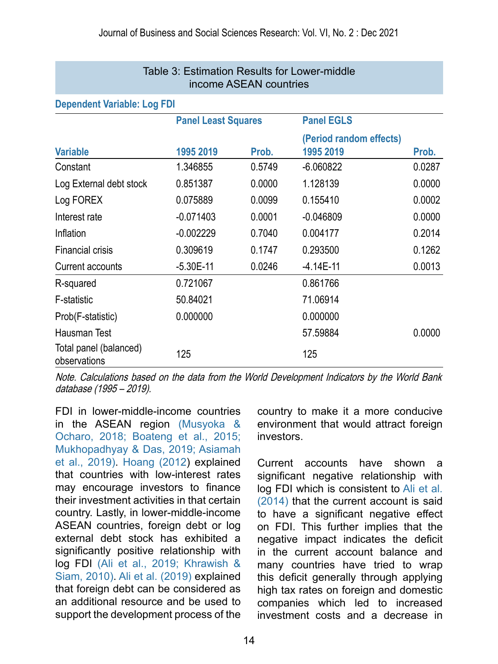| Table 3: Estimation Results for Lower-middle<br>income ASEAN countries |                            |        |                                      |        |  |
|------------------------------------------------------------------------|----------------------------|--------|--------------------------------------|--------|--|
| <b>Dependent Variable: Log FDI</b>                                     |                            |        |                                      |        |  |
|                                                                        | <b>Panel Least Squares</b> |        | <b>Panel EGLS</b>                    |        |  |
| <b>Variable</b>                                                        | 1995 2019                  | Prob.  | (Period random effects)<br>1995 2019 | Prob.  |  |
| Constant                                                               | 1.346855                   | 0.5749 | $-6.060822$                          | 0.0287 |  |
| Log External debt stock                                                | 0.851387                   | 0.0000 | 1.128139                             | 0.0000 |  |
| Log FOREX                                                              | 0.075889                   | 0.0099 | 0.155410                             | 0.0002 |  |
| Interest rate                                                          | $-0.071403$                | 0.0001 | $-0.046809$                          | 0.0000 |  |
| Inflation                                                              | $-0.002229$                | 0.7040 | 0.004177                             | 0.2014 |  |
| <b>Financial crisis</b>                                                | 0.309619                   | 0.1747 | 0.293500                             | 0.1262 |  |
| Current accounts                                                       | $-5.30E-11$                | 0.0246 | $-4.14E-11$                          | 0.0013 |  |
| R-squared                                                              | 0.721067                   |        | 0.861766                             |        |  |
| <b>F-statistic</b>                                                     | 50.84021                   |        | 71.06914                             |        |  |
| Prob(F-statistic)                                                      | 0.000000                   |        | 0.000000                             |        |  |
| Hausman Test                                                           |                            |        | 57.59884                             | 0.0000 |  |
| Total panel (balanced)<br>observations                                 | 125                        |        | 125                                  |        |  |

Note. Calculations based on the data from the World Development Indicators by the World Bank database (1995 – 2019).

FDI in lower-middle-income countries in the ASEAN region [\(Musyoka &](#page-21-9)  [Ocharo, 2018;](#page-21-9) [Boateng et al., 2015;](#page-19-9)  [Mukhopadhyay & Das, 2019;](#page-21-11) [Asiamah](#page-18-4)  [et al., 2019\)](#page-18-4)[. Hoang \(2012](#page-20-9)) explained that countries with low-interest rates may encourage investors to finance their investment activities in that certain country. Lastly, in lower-middle-income ASEAN countries, foreign debt or log external debt stock has exhibited a significantly positive relationship with log FDI ([Ali et al., 2019;](#page-18-0) [Khrawish &](#page-20-4)  [Siam, 2010\)](#page-20-4). [Ali et al. \(2019\)](#page-18-0) explained that foreign debt can be considered as an additional resource and be used to support the development process of the

country to make it a more conducive environment that would attract foreign investors.

Current accounts have shown a significant negative relationship with log FDI which is consistent to [Ali et al.](#page-18-0)  [\(2014\)](#page-18-0) that the current account is said to have a significant negative effect on FDI. This further implies that the negative impact indicates the deficit in the current account balance and many countries have tried to wrap this deficit generally through applying high tax rates on foreign and domestic companies which led to increased investment costs and a decrease in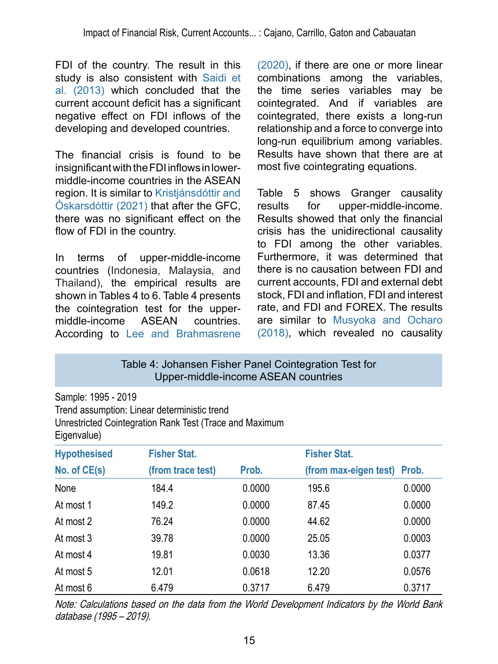FDI of the country. The result in this study is also consistent with [Saidi et](#page-22-9)  [al. \(2013\)](#page-22-9) which concluded that the current account deficit has a significant negative effect on FDI inflows of the developing and developed countries.

The financial crisis is found to be insignificant with the FDI inflows in lowermiddle-income countries in the ASEAN region. It is similar to Kristjánsdóttir and [Óskarsdóttir \(2021\)](#page-20-13) that after the GFC, there was no significant effect on the flow of FDI in the country.

In terms of upper-middle-income countries (Indonesia, Malaysia, and Thailand), the empirical results are shown in Tables 4 to 6. Table 4 presents the cointegration test for the uppermiddle-income ASEAN countries. According to [Lee and Brahmasrene](#page-21-10)  [\(2020\)](#page-21-10), if there are one or more linear combinations among the variables, the time series variables may be cointegrated. And if variables are cointegrated, there exists a long-run relationship and a force to converge into long-run equilibrium among variables. Results have shown that there are at most five cointegrating equations.

Table 5 shows Granger causality results for upper-middle-income. Results showed that only the financial crisis has the unidirectional causality to FDI among the other variables. Furthermore, it was determined that there is no causation between FDI and current accounts, FDI and external debt stock, FDI and inflation, FDI and interest rate, and FDI and FOREX. The results are similar to [Musyoka and Ocharo](#page-21-9)  [\(2018\)](#page-21-9), which revealed no causality

Table 4: Johansen Fisher Panel Cointegration Test for Upper-middle-income ASEAN countries

Sample: 1995 - 2019 Trend assumption: Linear deterministic trend Unrestricted Cointegration Rank Test (Trace and Maximum Eigenvalue)

| <b>Hypothesised</b> | <b>Fisher Stat.</b> |        | <b>Fisher Stat.</b>         |        |
|---------------------|---------------------|--------|-----------------------------|--------|
| No. of CE(s)        | (from trace test)   | Prob.  | (from max-eigen test) Prob. |        |
| None                | 184.4               | 0.0000 | 195.6                       | 0.0000 |
| At most 1           | 149.2               | 0.0000 | 87.45                       | 0.0000 |
| At most 2           | 76.24               | 0.0000 | 44.62                       | 0.0000 |
| At most 3           | 39.78               | 0.0000 | 25.05                       | 0.0003 |
| At most 4           | 19.81               | 0.0030 | 13.36                       | 0.0377 |
| At most 5           | 12.01               | 0.0618 | 12.20                       | 0.0576 |
| At most 6           | 6.479               | 0.3717 | 6.479                       | 0.3717 |

Note: Calculations based on the data from the World Development Indicators by the World Bank database (1995 – 2019).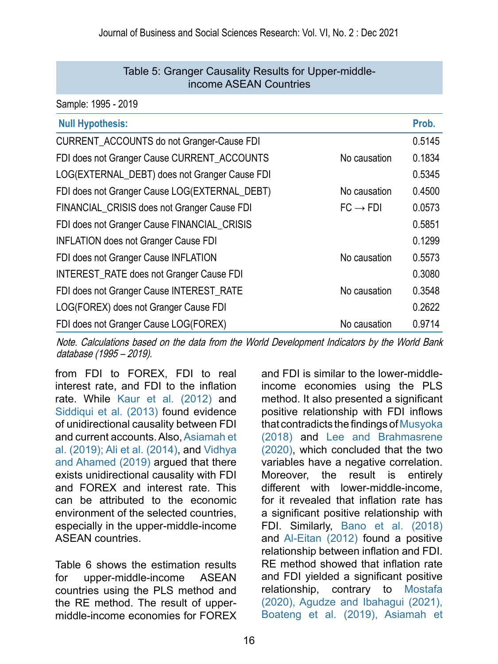#### Table 5: Granger Causality Results for Upper-middleincome ASEAN Countries

Sample: 1995 - 2019

| <b>Null Hypothesis:</b>                                             | Prob.  |
|---------------------------------------------------------------------|--------|
| <b>CURRENT_ACCOUNTS do not Granger-Cause FDI</b>                    | 0.5145 |
| FDI does not Granger Cause CURRENT_ACCOUNTS<br>No causation         | 0.1834 |
| LOG(EXTERNAL_DEBT) does not Granger Cause FDI                       | 0.5345 |
| No causation<br>FDI does not Granger Cause LOG(EXTERNAL_DEBT)       | 0.4500 |
| $FC \rightarrow FDI$<br>FINANCIAL_CRISIS does not Granger Cause FDI | 0.0573 |
| FDI does not Granger Cause FINANCIAL_CRISIS                         | 0.5851 |
| <b>INFLATION does not Granger Cause FDI</b>                         | 0.1299 |
| FDI does not Granger Cause INFLATION<br>No causation                | 0.5573 |
| <b>INTEREST_RATE does not Granger Cause FDI</b>                     | 0.3080 |
| No causation<br>FDI does not Granger Cause INTEREST_RATE            | 0.3548 |
| LOG(FOREX) does not Granger Cause FDI                               | 0.2622 |
| FDI does not Granger Cause LOG(FOREX)<br>No causation               | 0.9714 |

Note. Calculations based on the data from the World Development Indicators by the World Bank database (1995 – 2019).

from FDI to FOREX, FDI to real interest rate, and FDI to the inflation rate. While [Kaur et al. \(2012\)](#page-20-12) and [Siddiqui et al. \(2013\)](#page-22-11) found evidence of unidirectional causality between FDI and current accounts. Also, [Asiamah et](#page-18-4) [al. \(2019\)](#page-18-4)[; Ali et al. \(2014\),](#page-18-0) and [Vidhya](#page-23-5) [and Ahamed \(2019\)](#page-23-5) argued that there exists unidirectional causality with FDI and FOREX and interest rate. This can be attributed to the economic environment of the selected countries, especially in the upper-middle-income ASEAN countries.

Table 6 shows the estimation results for upper-middle-income ASEAN countries using the PLS method and the RE method. The result of uppermiddle-income economies for FOREX

and FDI is similar to the lower-middleincome economies using the PLS method. It also presented a significant positive relationship with FDI inflows that contradicts the findings of [Musyoka](#page-21-9)  [\(2018\)](#page-21-9) and [Lee and Brahmasrene](#page-21-10)  [\(2020\),](#page-21-10) which concluded that the two variables have a negative correlation. Moreover, the result is entirely different with lower-middle-income, for it revealed that inflation rate has a significant positive relationship with FDI. Similarly, [Bano et al. \(2018\)](#page-19-10) and [Al-Eitan \(2012\)](#page-18-5) found a positive relationship between inflation and FDI. RE method showed that inflation rate and FDI yielded a significant positive relationship, contrary to [Mostafa](#page-21-7)  [\(2020\),](#page-21-7) [Agudze and Ibahagui \(2021\),](#page-18-3) [Boateng et al. \(2019\),](#page-19-9) [Asiamah et](#page-18-4)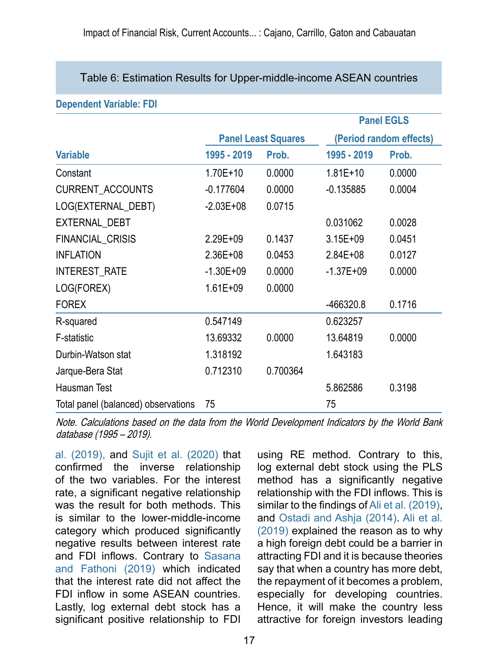#### Table 6: Estimation Results for Upper-middle-income ASEAN countries

| PUPULUULII TULIUNIUI LPI            |                            |          |                         |        |
|-------------------------------------|----------------------------|----------|-------------------------|--------|
|                                     |                            |          | <b>Panel EGLS</b>       |        |
|                                     | <b>Panel Least Squares</b> |          | (Period random effects) |        |
| <b>Variable</b>                     | 1995 - 2019                | Prob.    | 1995 - 2019             | Prob.  |
| Constant                            | $1.70E+10$                 | 0.0000   | $1.81E + 10$            | 0.0000 |
| CURRENT_ACCOUNTS                    | $-0.177604$                | 0.0000   | $-0.135885$             | 0.0004 |
| LOG(EXTERNAL_DEBT)                  | $-2.03E+08$                | 0.0715   |                         |        |
| EXTERNAL_DEBT                       |                            |          | 0.031062                | 0.0028 |
| FINANCIAL_CRISIS                    | 2.29E+09                   | 0.1437   | $3.15E + 09$            | 0.0451 |
| <b>INFLATION</b>                    | 2.36E+08                   | 0.0453   | $2.84E + 08$            | 0.0127 |
| INTEREST_RATE                       | $-1.30E + 09$              | 0.0000   | $-1.37E + 09$           | 0.0000 |
| LOG(FOREX)                          | $1.61E + 09$               | 0.0000   |                         |        |
| <b>FOREX</b>                        |                            |          | $-466320.8$             | 0.1716 |
| R-squared                           | 0.547149                   |          | 0.623257                |        |
| F-statistic                         | 13.69332                   | 0.0000   | 13.64819                | 0.0000 |
| Durbin-Watson stat                  | 1.318192                   |          | 1.643183                |        |
| Jarque-Bera Stat                    | 0.712310                   | 0.700364 |                         |        |
| Hausman Test                        |                            |          | 5.862586                | 0.3198 |
| Total panel (balanced) observations | 75                         |          | 75                      |        |

#### **Dependent Variable: FDI**

Note. Calculations based on the data from the World Development Indicators by the World Bank database (1995 – 2019).

[al. \(2019\),](#page-18-4) and [Sujit et al. \(2020\)](#page-22-6) that confirmed the inverse relationship of the two variables. For the interest rate, a significant negative relationship was the result for both methods. This is similar to the lower-middle-income category which produced significantly negative results between interest rate and FDI inflows. Contrary to [Sasana](#page-22-3)  [and Fathoni \(2019\)](#page-22-3) which indicated that the interest rate did not affect the FDI inflow in some ASEAN countries. Lastly, log external debt stock has a significant positive relationship to FDI

using RE method. Contrary to this, log external debt stock using the PLS method has a significantly negative relationship with the FDI inflows. This is similar to the findings of [Ali et al. \(2019\)](#page-18-0), and [Ostadi and Ashja \(2014\)](#page-22-8). [Ali et al.](#page-18-0)  [\(2019\)](#page-18-0) explained the reason as to why a high foreign debt could be a barrier in attracting FDI and it is because theories say that when a country has more debt, the repayment of it becomes a problem, especially for developing countries. Hence, it will make the country less attractive for foreign investors leading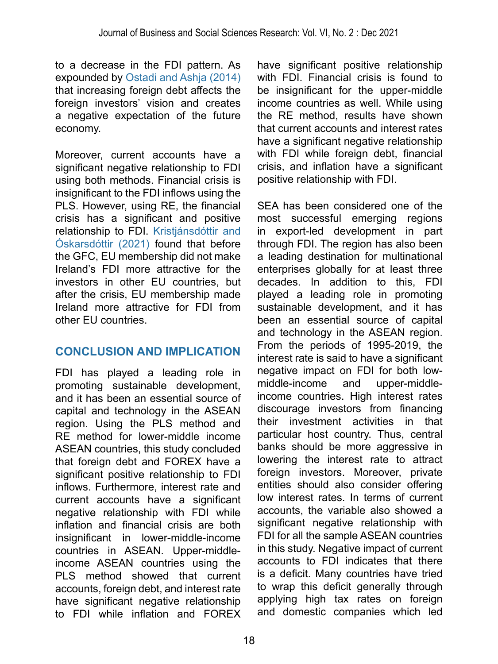to a decrease in the FDI pattern. As expounded by [Ostadi and Ashja \(2014\)](#page-22-8) that increasing foreign debt affects the foreign investors' vision and creates a negative expectation of the future economy.

Moreover, current accounts have a significant negative relationship to FDI using both methods. Financial crisis is insignificant to the FDI inflows using the PLS. However, using RE, the financial crisis has a significant and positive relationship to FDI. [Kristjánsdóttir and](#page-20-13)  [Óskarsdóttir \(2021\)](#page-20-13) found that before the GFC, EU membership did not make Ireland's FDI more attractive for the investors in other EU countries, but after the crisis, EU membership made Ireland more attractive for FDI from other EU countries.

# **CONCLUSION AND IMPLICATION**

FDI has played a leading role in promoting sustainable development, and it has been an essential source of capital and technology in the ASEAN region. Using the PLS method and RE method for lower-middle income ASEAN countries, this study concluded that foreign debt and FOREX have a significant positive relationship to FDI inflows. Furthermore, interest rate and current accounts have a significant negative relationship with FDI while inflation and financial crisis are both insignificant in lower-middle-income countries in ASEAN. Upper-middleincome ASEAN countries using the PLS method showed that current accounts, foreign debt, and interest rate have significant negative relationship to FDI while inflation and FOREX have significant positive relationship with FDI. Financial crisis is found to be insignificant for the upper-middle income countries as well. While using the RE method, results have shown that current accounts and interest rates have a significant negative relationship with FDI while foreign debt, financial crisis, and inflation have a significant positive relationship with FDI.

SEA has been considered one of the most successful emerging regions in export-led development in part through FDI. The region has also been a leading destination for multinational enterprises globally for at least three decades. In addition to this, FDI played a leading role in promoting sustainable development, and it has been an essential source of capital and technology in the ASEAN region. From the periods of 1995-2019, the interest rate is said to have a significant negative impact on FDI for both lowmiddle-income and upper-middleincome countries. High interest rates discourage investors from financing their investment activities in that particular host country. Thus, central banks should be more aggressive in lowering the interest rate to attract foreign investors. Moreover, private entities should also consider offering low interest rates. In terms of current accounts, the variable also showed a significant negative relationship with FDI for all the sample ASEAN countries in this study. Negative impact of current accounts to FDI indicates that there is a deficit. Many countries have tried to wrap this deficit generally through applying high tax rates on foreign and domestic companies which led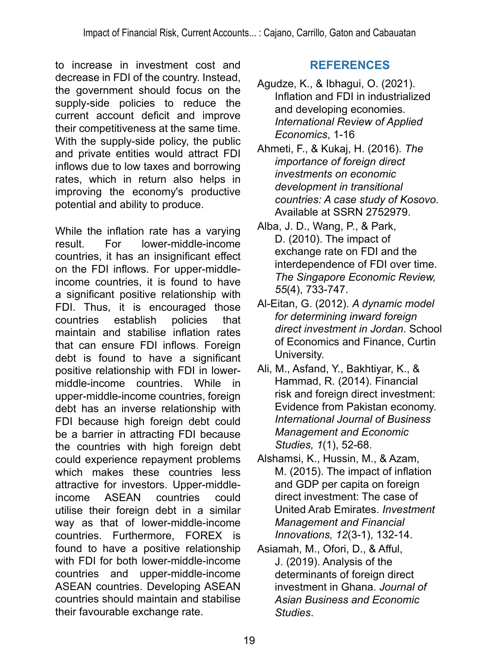to increase in investment cost and decrease in FDI of the country. Instead, the government should focus on the supply-side policies to reduce the current account deficit and improve their competitiveness at the same time. With the supply-side policy, the public and private entities would attract FDI inflows due to low taxes and borrowing rates, which in return also helps in improving the economy's productive potential and ability to produce.

While the inflation rate has a varying<br>result For lower-middle-income lower-middle-income countries, it has an insignificant effect on the FDI inflows. For upper-middleincome countries, it is found to have a significant positive relationship with FDI. Thus, it is encouraged those countries establish policies that maintain and stabilise inflation rates that can ensure FDI inflows. Foreign debt is found to have a significant positive relationship with FDI in lowermiddle-income countries. While in upper-middle-income countries, foreign debt has an inverse relationship with FDI because high foreign debt could be a barrier in attracting FDI because the countries with high foreign debt could experience repayment problems which makes these countries less attractive for investors. Upper-middleincome ASEAN countries could utilise their foreign debt in a similar way as that of lower-middle-income countries. Furthermore, FOREX is found to have a positive relationship with FDI for both lower-middle-income countries and upper-middle-income ASEAN countries. Developing ASEAN countries should maintain and stabilise their favourable exchange rate.

# **REFERENCES**

- <span id="page-18-3"></span>Agudze, K., & Ibhagui, O. (2021). Inflation and FDI in industrialized and developing economies. *International Review of Applied Economics*, 1-16
- <span id="page-18-1"></span>Ahmeti, F., & Kukaj, H. (2016). *The importance of foreign direct investments on economic development in transitional countries: A case study of Kosovo*. Available at SSRN 2752979.
- <span id="page-18-2"></span>Alba, J. D., Wang, P., & Park, D. (2010). The impact of exchange rate on FDI and the interdependence of FDI over time. *The Singapore Economic Review, 55*(4), 733-747.
- <span id="page-18-5"></span>Al-Eitan, G. (2012). *A dynamic model for determining inward foreign direct investment in Jordan*. School of Economics and Finance, Curtin University.
- <span id="page-18-0"></span>Ali, M., Asfand, Y., Bakhtiyar, K., & Hammad, R. (2014). Financial risk and foreign direct investment: Evidence from Pakistan economy. *International Journal of Business Management and Economic Studies, 1*(1), 52-68.
- <span id="page-18-6"></span>Alshamsi, K., Hussin, M., & Azam, M. (2015). The impact of inflation and GDP per capita on foreign direct investment: The case of United Arab Emirates. *Investment Management and Financial Innovations, 12*(3-1), 132-14.
- <span id="page-18-4"></span>Asiamah, M., Ofori, D., & Afful, J. (2019). Analysis of the determinants of foreign direct investment in Ghana. *Journal of Asian Business and Economic Studies*.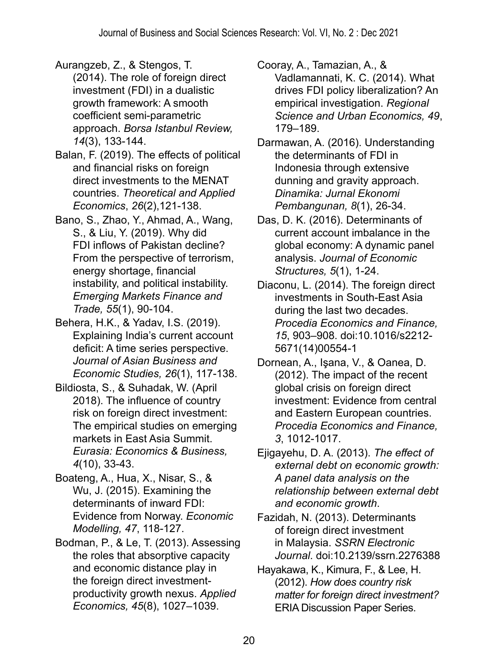<span id="page-19-4"></span>Aurangzeb, Z., & Stengos, T. (2014). The role of foreign direct investment (FDI) in a dualistic growth framework: A smooth coefficient semi-parametric approach. *Borsa Istanbul Review, 14*(3), 133-144.

<span id="page-19-7"></span>Balan, F. (2019). The effects of political and financial risks on foreign direct investments to the MENAT countries. *Theoretical and Applied Economics*, *26*(2),121-138.

<span id="page-19-10"></span>Bano, S., Zhao, Y., Ahmad, A., Wang, S., & Liu, Y. (2019). Why did FDI inflows of Pakistan decline? From the perspective of terrorism, energy shortage, financial instability, and political instability. *Emerging Markets Finance and Trade, 55*(1), 90-104.

Behera, H.K., & Yadav, I.S. (2019). Explaining India's current account deficit: A time series perspective. *Journal of Asian Business and Economic Studies, 26*(1), 117-138.

<span id="page-19-8"></span>Bildiosta, S., & Suhadak, W. (April 2018). The influence of country risk on foreign direct investment: The empirical studies on emerging markets in East Asia Summit. *Eurasia: Economics & Business, 4*(10), 33-43.

<span id="page-19-9"></span>Boateng, A., Hua, X., Nisar, S., & Wu, J. (2015). Examining the determinants of inward FDI: Evidence from Norway. *Economic Modelling, 47*, 118-127.

<span id="page-19-3"></span>Bodman, P., & Le, T. (2013). Assessing the roles that absorptive capacity and economic distance play in the foreign direct investmentproductivity growth nexus. *Applied Economics, 45*(8), 1027–1039.

<span id="page-19-1"></span>Cooray, A., Tamazian, A., & Vadlamannati, K. C. (2014). What drives FDI policy liberalization? An empirical investigation. *Regional Science and Urban Economics, 49*, 179–189.

<span id="page-19-5"></span>Darmawan, A. (2016). Understanding the determinants of FDI in Indonesia through extensive dunning and gravity approach. *Dinamika: Jurnal Ekonomi Pembangunan, 8*(1), 26-34.

<span id="page-19-12"></span>Das, D. K. (2016). Determinants of current account imbalance in the global economy: A dynamic panel analysis. *Journal of Economic Structures, 5*(1), 1-24.

<span id="page-19-0"></span>Diaconu, L. (2014). The foreign direct investments in South-East Asia during the last two decades. *Procedia Economics and Finance, 15*, 903–908. doi:10.1016/s2212- 5671(14)00554-1

Dornean, A., Işana, V., & Oanea, D. (2012). The impact of the recent global crisis on foreign direct investment: Evidence from central and Eastern European countries. *Procedia Economics and Finance, 3*, 1012-1017.

<span id="page-19-11"></span>Ejigayehu, D. A. (2013). *The effect of external debt on economic growth: A panel data analysis on the relationship between external debt and economic growth*.

<span id="page-19-6"></span>Fazidah, N. (2013). Determinants of foreign direct investment in Malaysia. *SSRN Electronic Journal*. doi:10.2139/ssrn.2276388

<span id="page-19-2"></span>Hayakawa, K., Kimura, F., & Lee, H. (2012). *How does country risk matter for foreign direct investment?*  ERIA Discussion Paper Series.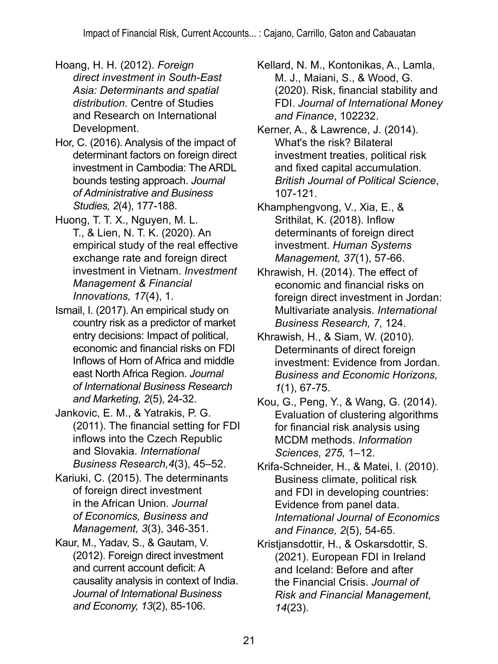- <span id="page-20-9"></span>Hoang, H. H. (2012). *Foreign direct investment in South-East Asia: Determinants and spatial distribution*. Centre of Studies and Research on International Development.
- <span id="page-20-1"></span>Hor, C. (2016). Analysis of the impact of determinant factors on foreign direct investment in Cambodia: The ARDL bounds testing approach. *Journal of Administrative and Business Studies, 2*(4), 177-188.
- <span id="page-20-10"></span>Huong, T. T. X., Nguyen, M. L. T., & Lien, N. T. K. (2020). An empirical study of the real effective exchange rate and foreign direct investment in Vietnam. *Investment Management & Financial Innovations, 17*(4), 1.
- <span id="page-20-7"></span>Ismail, I. (2017). An empirical study on country risk as a predictor of market entry decisions: Impact of political, economic and financial risks on FDI Inflows of Horn of Africa and middle east North Africa Region. *Journal of International Business Research and Marketing, 2*(5), 24-32.
- <span id="page-20-11"></span>Jankovic, E. M., & Yatrakis, P. G. (2011). The financial setting for FDI inflows into the Czech Republic and Slovakia. *International Business Research,4*(3), 45–52.
- <span id="page-20-8"></span>Kariuki, C. (2015). The determinants of foreign direct investment in the African Union. *Journal of Economics, Business and Management, 3*(3), 346-351.
- <span id="page-20-12"></span>Kaur, M., Yadav, S., & Gautam, V. (2012). Foreign direct investment and current account deficit: A causality analysis in context of India. *Journal of International Business and Economy, 13*(2), 85-106.
- <span id="page-20-0"></span>Kellard, N. M., Kontonikas, A., Lamla, M. J., Maiani, S., & Wood, G. (2020). Risk, financial stability and FDI. *Journal of International Money and Finance*, 102232.
- <span id="page-20-6"></span>Kerner, A., & Lawrence, J. (2014). What's the risk? Bilateral investment treaties, political risk and fixed capital accumulation. *British Journal of Political Science*, 107-121.
- <span id="page-20-2"></span>Khamphengvong, V., Xia, E., & Srithilat, K. (2018). Inflow determinants of foreign direct investment. *Human Systems Management, 37*(1), 57-66.
- <span id="page-20-5"></span>Khrawish, H. (2014). The effect of economic and financial risks on foreign direct investment in Jordan: Multivariate analysis. *International Business Research, 7*, 124.
- <span id="page-20-4"></span>Khrawish, H., & Siam, W. (2010). Determinants of direct foreign investment: Evidence from Jordan. *Business and Economic Horizons, 1*(1), 67-75.
- <span id="page-20-3"></span>Kou, G., Peng, Y., & Wang, G. (2014). Evaluation of clustering algorithms for financial risk analysis using MCDM methods. *Information Sciences, 275,* 1–12.
- <span id="page-20-14"></span>Krifa-Schneider, H., & Matei, I. (2010). Business climate, political risk and FDI in developing countries: Evidence from panel data. *International Journal of Economics and Finance, 2*(5), 54-65.
- <span id="page-20-13"></span>Kristjansdottir, H., & Oskarsdottir, S. (2021). European FDI in Ireland and Iceland: Before and after the Financial Crisis. *Journal of Risk and Financial Management, 14*(23).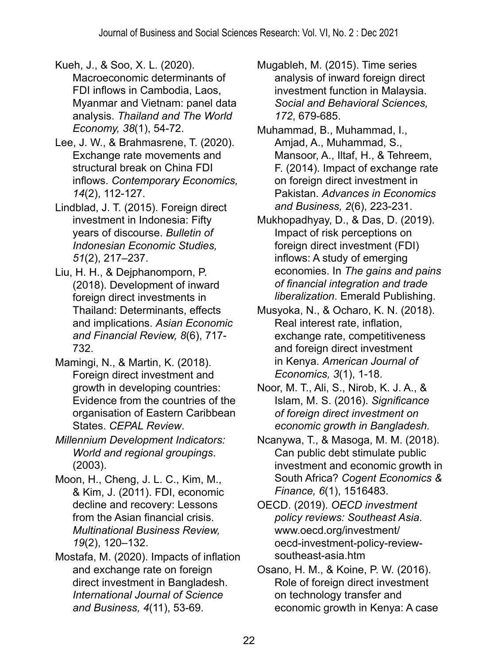<span id="page-21-6"></span>Kueh, J., & Soo, X. L. (2020).

- Macroeconomic determinants of FDI inflows in Cambodia, Laos, Myanmar and Vietnam: panel data analysis. *Thailand and The World Economy, 38*(1), 54-72.
- <span id="page-21-10"></span>Lee, J. W., & Brahmasrene, T. (2020). Exchange rate movements and structural break on China FDI inflows. *Contemporary Economics, 14*(2), 112-127.
- Lindblad, J. T. (2015). Foreign direct investment in Indonesia: Fifty years of discourse. *Bulletin of Indonesian Economic Studies, 51*(2), 217–237.
- <span id="page-21-5"></span>Liu, H. H., & Dejphanomporn, P. (2018). Development of inward foreign direct investments in Thailand: Determinants, effects and implications. *Asian Economic and Financial Review, 8*(6), 717- 732.
- <span id="page-21-3"></span>Mamingi, N., & Martin, K. (2018). Foreign direct investment and growth in developing countries: Evidence from the countries of the organisation of Eastern Caribbean States. *CEPAL Review*.
- *Millennium Development Indicators: World and regional groupings*. (2003).
- <span id="page-21-13"></span>Moon, H., Cheng, J. L. C., Kim, M., & Kim, J. (2011). FDI, economic decline and recovery: Lessons from the Asian financial crisis. *Multinational Business Review, 19*(2), 120–132.
- <span id="page-21-7"></span>Mostafa, M. (2020). Impacts of inflation and exchange rate on foreign direct investment in Bangladesh. *International Journal of Science and Business, 4*(11), 53-69.
- <span id="page-21-4"></span>Mugableh, M. (2015). Time series analysis of inward foreign direct investment function in Malaysia. *Social and Behavioral Sciences, 172*, 679-685.
- <span id="page-21-8"></span>Muhammad, B., Muhammad, I., Amjad, A., Muhammad, S., Mansoor, A., Iltaf, H., & Tehreem, F. (2014). Impact of exchange rate on foreign direct investment in Pakistan. *Advances in Economics and Business, 2*(6), 223-231.
- <span id="page-21-11"></span>Mukhopadhyay, D., & Das, D. (2019). Impact of risk perceptions on foreign direct investment (FDI) inflows: A study of emerging economies. In *The gains and pains of financial integration and trade liberalization*. Emerald Publishing.
- <span id="page-21-9"></span>Musyoka, N., & Ocharo, K. N. (2018). Real interest rate, inflation, exchange rate, competitiveness and foreign direct investment in Kenya. *American Journal of Economics, 3*(1), 1-18.
- <span id="page-21-0"></span>Noor, M. T., Ali, S., Nirob, K. J. A., & Islam, M. S. (2016). *Significance of foreign direct investment on economic growth in Bangladesh.*
- <span id="page-21-12"></span>Ncanywa, T., & Masoga, M. M. (2018). Can public debt stimulate public investment and economic growth in South Africa? *Cogent Economics & Finance, 6*(1), 1516483.
- <span id="page-21-1"></span>OECD. (2019). *OECD investment policy reviews: Southeast Asia*. www.oecd.org/investment/ oecd-investment-policy-reviewsoutheast-asia.htm
- <span id="page-21-2"></span>Osano, H. M., & Koine, P. W. (2016). Role of foreign direct investment on technology transfer and economic growth in Kenya: A case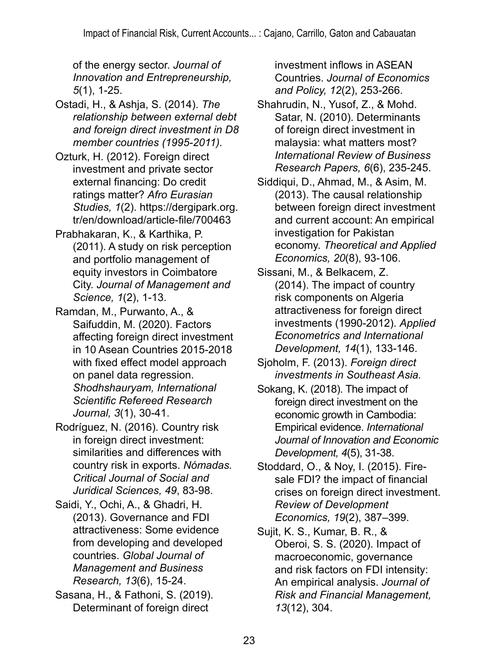of the energy sector. *Journal of Innovation and Entrepreneurship, 5*(1), 1-25.

- <span id="page-22-8"></span>Ostadi, H., & Ashja, S. (2014). *The relationship between external debt and foreign direct investment in D8 member countries (1995-2011).*
- Ozturk, H. (2012). Foreign direct investment and private sector external financing: Do credit ratings matter? *Afro Eurasian Studies, 1*(2). https://dergipark.org. tr/en/download/article-file/700463
- <span id="page-22-5"></span>Prabhakaran, K., & Karthika, P. (2011). A study on risk perception and portfolio management of equity investors in Coimbatore City. *Journal of Management and Science, 1*(2), 1-13.
- <span id="page-22-7"></span>Ramdan, M., Purwanto, A., & Saifuddin, M. (2020). Factors affecting foreign direct investment in 10 Asean Countries 2015-2018 with fixed effect model approach on panel data regression. *Shodhshauryam, International Scientific Refereed Research Journal, 3*(1), 30-41.
- Rodríguez, N. (2016). Country risk in foreign direct investment: similarities and differences with country risk in exports. *Nómadas. Critical Journal of Social and Juridical Sciences, 49*, 83-98.
- <span id="page-22-9"></span>Saidi, Y., Ochi, A., & Ghadri, H. (2013). Governance and FDI attractiveness: Some evidence from developing and developed countries. *Global Journal of Management and Business Research, 13*(6), 15-24.
- <span id="page-22-3"></span>Sasana, H., & Fathoni, S. (2019). Determinant of foreign direct

investment inflows in ASEAN Countries. *Journal of Economics and Policy, 12*(2), 253-266.

- <span id="page-22-4"></span>Shahrudin, N., Yusof, Z., & Mohd. Satar, N. (2010). Determinants of foreign direct investment in malaysia: what matters most? *International Review of Business Research Papers, 6*(6), 235-245.
- <span id="page-22-11"></span>Siddiqui, D., Ahmad, M., & Asim, M. (2013). The causal relationship between foreign direct investment and current account: An empirical investigation for Pakistan economy. *Theoretical and Applied Economics, 20*(8), 93-106.
- <span id="page-22-1"></span>Sissani, M., & Belkacem, Z. (2014). The impact of country risk components on Algeria attractiveness for foreign direct investments (1990-2012). *Applied Econometrics and International Development, 14*(1), 133-146.
- <span id="page-22-2"></span>Sjoholm, F. (2013). *Foreign direct investments in Southeast Asia.*
- <span id="page-22-0"></span>Sokang, K. (2018). The impact of foreign direct investment on the economic growth in Cambodia: Empirical evidence. *International Journal of Innovation and Economic Development, 4*(5), 31-38.
- <span id="page-22-10"></span>Stoddard, O., & Noy, I. (2015). Firesale FDI? the impact of financial crises on foreign direct investment. *Review of Development Economics, 19*(2), 387–399.
- <span id="page-22-6"></span>Sujit, K. S., Kumar, B. R., & Oberoi, S. S. (2020). Impact of macroeconomic, governance and risk factors on FDI intensity: An empirical analysis. *Journal of Risk and Financial Management, 13*(12), 304.